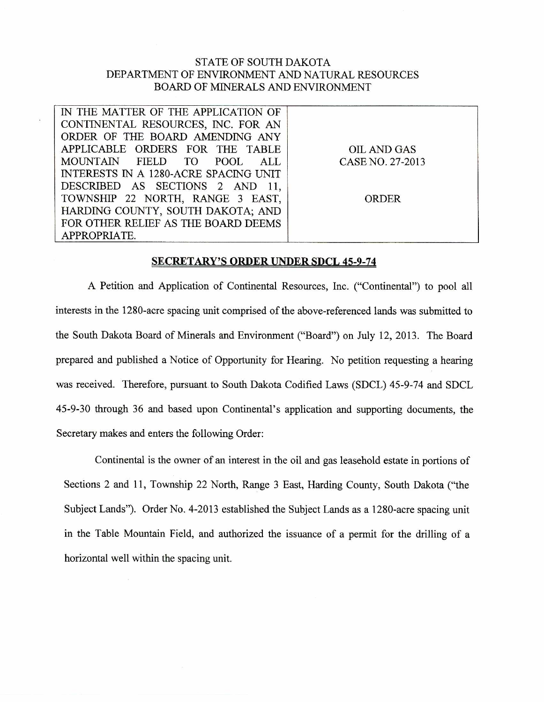## STATE OF SOUTH DAKOTA DEPARTMENT OF ENVIRONMENT AND NATURAL RESOURCES BOARD OF MINERALS AND ENVIRONMENT

| IN THE MATTER OF THE APPLICATION OF   |                  |
|---------------------------------------|------------------|
| CONTINENTAL RESOURCES, INC. FOR AN    |                  |
| ORDER OF THE BOARD AMENDING ANY       |                  |
| APPLICABLE ORDERS FOR THE TABLE       | OIL AND GAS      |
| MOUNTAIN FIELD TO POOL<br>ALL         | CASE NO. 27-2013 |
| INTERESTS IN A 1280-ACRE SPACING UNIT |                  |
| DESCRIBED AS SECTIONS 2 AND 11,       |                  |
| TOWNSHIP 22 NORTH, RANGE 3 EAST,      | ORDER            |
| HARDING COUNTY, SOUTH DAKOTA; AND     |                  |
| FOR OTHER RELIEF AS THE BOARD DEEMS   |                  |
| APPROPRIATE.                          |                  |

## **SECRETARY'S ORDER UNDER SDCL 45-9-74**

A Petition and Application of Continental Resources, Inc. ("Continental") to pool all interests in the 1280-acre spacing unit comprised of the above-referenced lands was submitted to the South Dakota Board of Minerals and Environment ("Board") on July 12, 2013. The Board prepared and published a Notice of Opportunity for Hearing. No petition requesting a hearing was received. Therefore, pursuant to South Dakota Codified Laws (SDCL) 45-9-74 and SDCL 45-9-30 through 36 and based upon Continental's application and supporting documents, the Secretary makes and enters the following Order:

Continental is the owner of an interest in the oil and gas leasehold estate in portions of Sections 2 and 11, Township 22 North, Range 3 East, Harding County, South Dakota ("the Subject Lands"). Order No. 4-2013 established the Subject Lands as a 1280-acre spacing unit in the Table Mountain Field, and authorized the issuance of a permit for the drilling of a horizontal well within the spacing unit.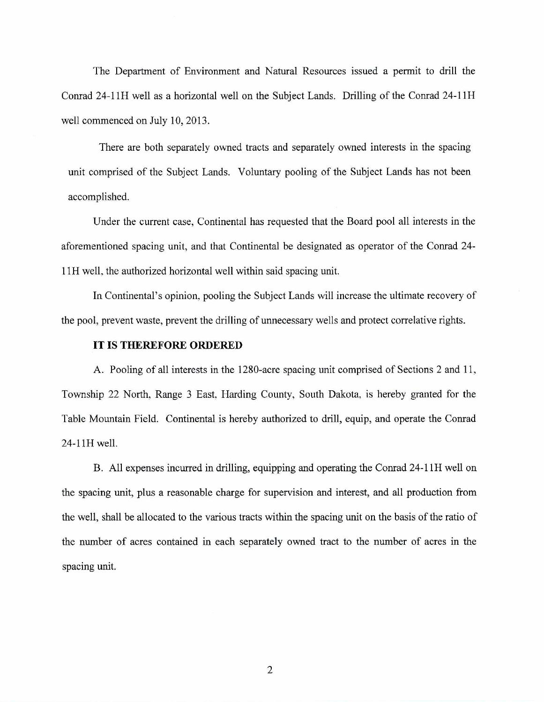The Department of Environment and Natural Resources issued a permit to drill the Conrad 24-1111 well as a horizontal well on the Subject Lands. Drilling of the Conrad 24-11H well commenced on July 10, 2013.

There are both separately owned tracts and separately owned interests in the spacing unit comprised of the Subject Lands. Voluntary pooling of the Subject Lands has not been accomplished.

Under the current case, Continental has requested that the Board pool all interests in the aforementioned spacing unit, and that Continental be designated as operator of the Conrad 24- 11H well, the authorized horizontal well within said spacing unit.

In Continental's opinion, pooling the Subject Lands will increase the ultimate recovery of the pool, prevent waste, prevent the drilling of unnecessary wells and protect correlative rights.

## **IT IS THEREFORE ORDERED**

A. Pooling of all interests in the 1280-acre spacing unit comprised of Sections 2 and 11, Township 22 North, Range 3 East, Harding County, South Dakota, is hereby granted for the Table Mountain Field. Continental is hereby authorized to drill, equip, and operate the Conrad 24-11H well.

B. All expenses incurred in drilling, equipping and operating the Conrad 24-11H well on the spacing unit, plus a reasonable charge for supervision and interest, and all production from the well, shall be allocated to the various tracts within the spacing unit on the basis of the ratio of the number of acres contained in each separately owned tract to the number of acres in the spacing unit.

2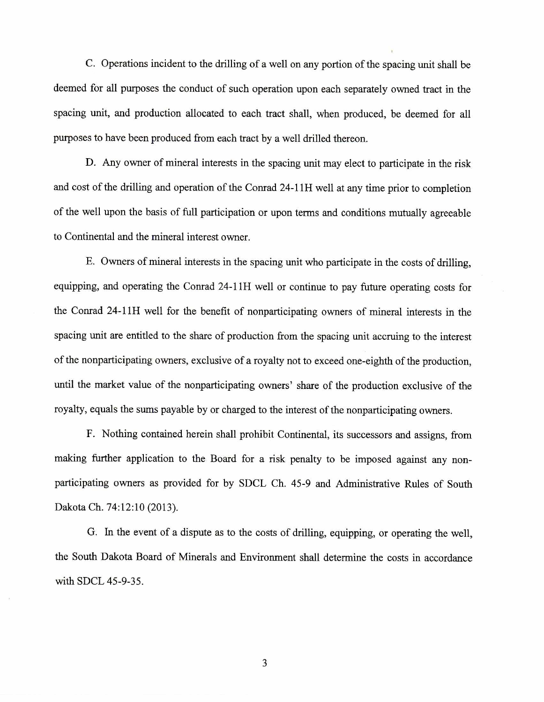C. Operations incident to the drilling of a well on any portion of the spacing unit shall be deemed for all purposes the conduct of such operation upon each separately owned tract in the spacing unit, and production allocated to each tract shall, when produced, be deemed for all purposes to have been produced from each tract by a well drilled thereon.

D. Any owner of mineral interests in the spacing unit may elect to participate in the risk and cost of the drilling and operation of the Conrad 24-11H well at any time prior to completion of the well upon the basis of full participation or upon terms and conditions mutually agreeable to Continental and the mineral interest owner.

E. Owners of mineral interests in the spacing unit who participate in the costs of drilling, equipping, and operating the Conrad 24-11H well or continue to pay future operating costs for the Conrad 24-11H well for the benefit of nonparticipating owners of mineral interests in the spacing unit are entitled to the share of production from the spacing unit accruing to the interest of the nonparticipating owners, exclusive of a royalty not to exceed one-eighth of the production, until the market value of the nonparticipating owners' share of the production exclusive of the royalty, equals the sums payable by or charged to the interest of the nonparticipating owners.

F. Nothing contained herein shall prohibit Continental, its successors and assigns, from making further application to the Board for a risk penalty to be imposed against any nonparticipating owners as provided for by SDCL Ch. 45-9 and Administrative Rules of South Dakota Ch. 74:12:10 (2013).

G. In the event of a dispute as to the costs of drilling, equipping, or operating the well, the South Dakota Board of Minerals and Environment shall determine the costs in accordance with SDCL 45-9-35.

3